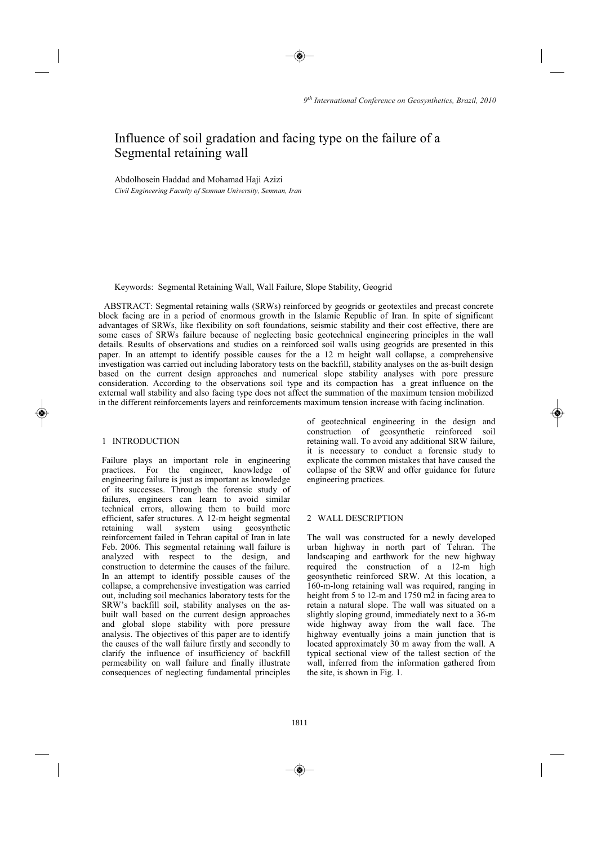# Influence of soil gradation and facing type on the failure of a Segmental retaining wall

Abdolhosein Haddad and Mohamad Haji Azizi *Civil Engineering Faculty of Semnan University, Semnan, Iran* 

Keywords: Segmental Retaining Wall, Wall Failure, Slope Stability, Geogrid

ABSTRACT: Segmental retaining walls (SRWs) reinforced by geogrids or geotextiles and precast concrete block facing are in a period of enormous growth in the Islamic Republic of Iran. In spite of significant advantages of SRWs, like flexibility on soft foundations, seismic stability and their cost effective, there are some cases of SRWs failure because of neglecting basic geotechnical engineering principles in the wall details. Results of observations and studies on a reinforced soil walls using geogrids are presented in this paper. In an attempt to identify possible causes for the a 12 m height wall collapse, a comprehensive investigation was carried out including laboratory tests on the backfill, stability analyses on the as-built design based on the current design approaches and numerical slope stability analyses with pore pressure consideration. According to the observations soil type and its compaction has a great influence on the external wall stability and also facing type does not affect the summation of the maximum tension mobilized in the different reinforcements layers and reinforcements maximum tension increase with facing inclination.

# 1 INTRODUCTION

Failure plays an important role in engineering practices. For the engineer, knowledge of engineering failure is just as important as knowledge of its successes. Through the forensic study of failures, engineers can learn to avoid similar technical errors, allowing them to build more efficient, safer structures. A 12-m height segmental<br>retaining wall system using geosynthetic retaining wall reinforcement failed in Tehran capital of Iran in late Feb. 2006. This segmental retaining wall failure is analyzed with respect to the design, and construction to determine the causes of the failure. In an attempt to identify possible causes of the collapse, a comprehensive investigation was carried out, including soil mechanics laboratory tests for the SRW's backfill soil, stability analyses on the asbuilt wall based on the current design approaches and global slope stability with pore pressure analysis. The objectives of this paper are to identify the causes of the wall failure firstly and secondly to clarify the influence of insufficiency of backfill permeability on wall failure and finally illustrate consequences of neglecting fundamental principles of geotechnical engineering in the design and construction of geosynthetic reinforced soil retaining wall. To avoid any additional SRW failure, it is necessary to conduct a forensic study to explicate the common mistakes that have caused the collapse of the SRW and offer guidance for future engineering practices.

# 2 WALL DESCRIPTION

The wall was constructed for a newly developed urban highway in north part of Tehran. The landscaping and earthwork for the new highway required the construction of a 12-m high geosynthetic reinforced SRW. At this location, a 160-m-long retaining wall was required, ranging in height from 5 to 12-m and 1750 m2 in facing area to retain a natural slope. The wall was situated on a slightly sloping ground, immediately next to a 36-m wide highway away from the wall face. The highway eventually joins a main junction that is located approximately 30 m away from the wall. A typical sectional view of the tallest section of the wall, inferred from the information gathered from the site, is shown in Fig. 1.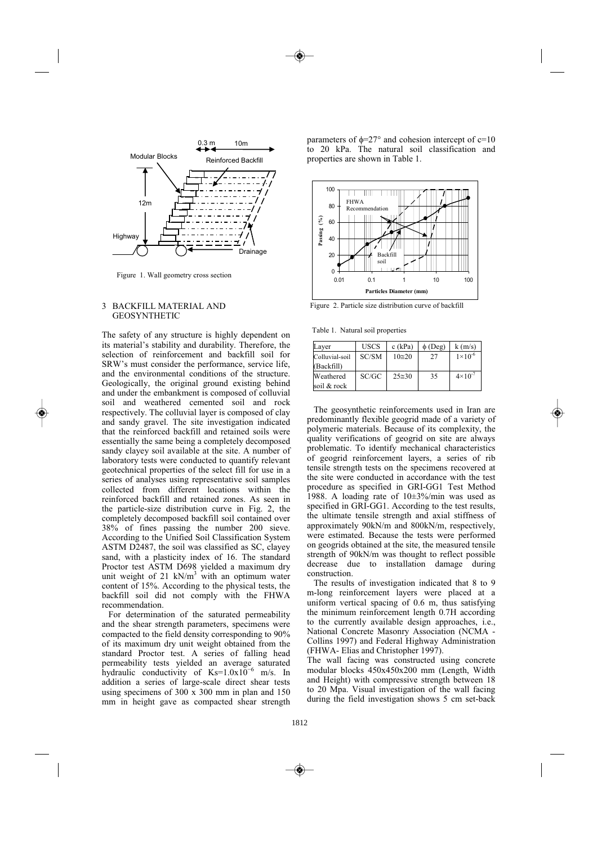

Figure 1. Wall geometry cross section

## 3 BACKFILL MATERIAL AND GEOSYNTHETIC

The safety of any structure is highly dependent on its material's stability and durability. Therefore, the selection of reinforcement and backfill soil for SRW's must consider the performance, service life, and the environmental conditions of the structure. Geologically, the original ground existing behind and under the embankment is composed of colluvial soil and weathered cemented soil and rock respectively. The colluvial layer is composed of clay and sandy gravel. The site investigation indicated that the reinforced backfill and retained soils were essentially the same being a completely decomposed sandy clayey soil available at the site. A number of laboratory tests were conducted to quantify relevant geotechnical properties of the select fill for use in a series of analyses using representative soil samples collected from different locations within the reinforced backfill and retained zones. As seen in the particle-size distribution curve in Fig. 2, the completely decomposed backfill soil contained over 38% of fines passing the number 200 sieve. According to the Unified Soil Classification System ASTM D2487, the soil was classified as SC, clayey sand, with a plasticity index of 16. The standard Proctor test ASTM D698 yielded a maximum dry unit weight of 21 kN/ $m<sup>3</sup>$  with an optimum water content of 15%. According to the physical tests, the backfill soil did not comply with the FHWA recommendation.

 For determination of the saturated permeability and the shear strength parameters, specimens were compacted to the field density corresponding to 90% of its maximum dry unit weight obtained from the standard Proctor test. A series of falling head permeability tests yielded an average saturated hydraulic conductivity of  $Ks=1.0x10^{-6}$  m/s. In addition a series of large-scale direct shear tests using specimens of 300 x 300 mm in plan and 150 mm in height gave as compacted shear strength parameters of  $\phi = 27^\circ$  and cohesion intercept of c=10 to 20 kPa. The natural soil classification and properties are shown in Table 1.



Figure 2. Particle size distribution curve of backfill

Table 1. Natural soil properties

| Layer          | <b>USCS</b> | $c$ (kPa)       | $\phi$ (Deg) | k(m/s)             |
|----------------|-------------|-----------------|--------------|--------------------|
| Colluvial-soil | SC/SM       | $10 \approx 20$ | 27           | $1 \times 10^{-6}$ |
| (Backfill)     |             |                 |              |                    |
| Weathered      | SC/GC       | $25 \approx 30$ | 35           | $4 \times 10^{-7}$ |
| soil & rock    |             |                 |              |                    |

The geosynthetic reinforcements used in Iran are predominantly flexible geogrid made of a variety of polymeric materials. Because of its complexity, the quality verifications of geogrid on site are always problematic. To identify mechanical characteristics of geogrid reinforcement layers, a series of rib tensile strength tests on the specimens recovered at the site were conducted in accordance with the test procedure as specified in GRI-GG1 Test Method 1988. A loading rate of 10±3%/min was used as specified in GRI-GG1. According to the test results, the ultimate tensile strength and axial stiffness of approximately 90kN/m and 800kN/m, respectively, were estimated. Because the tests were performed on geogrids obtained at the site, the measured tensile strength of 90kN/m was thought to reflect possible decrease due to installation damage during construction.

 The results of investigation indicated that 8 to 9 m-long reinforcement layers were placed at a uniform vertical spacing of 0.6 m, thus satisfying the minimum reinforcement length 0.7H according to the currently available design approaches, i.e., National Concrete Masonry Association (NCMA - Collins 1997) and Federal Highway Administration (FHWA- Elias and Christopher 1997).

The wall facing was constructed using concrete modular blocks 450x450x200 mm (Length, Width and Height) with compressive strength between 18 to 20 Mpa. Visual investigation of the wall facing during the field investigation shows 5 cm set-back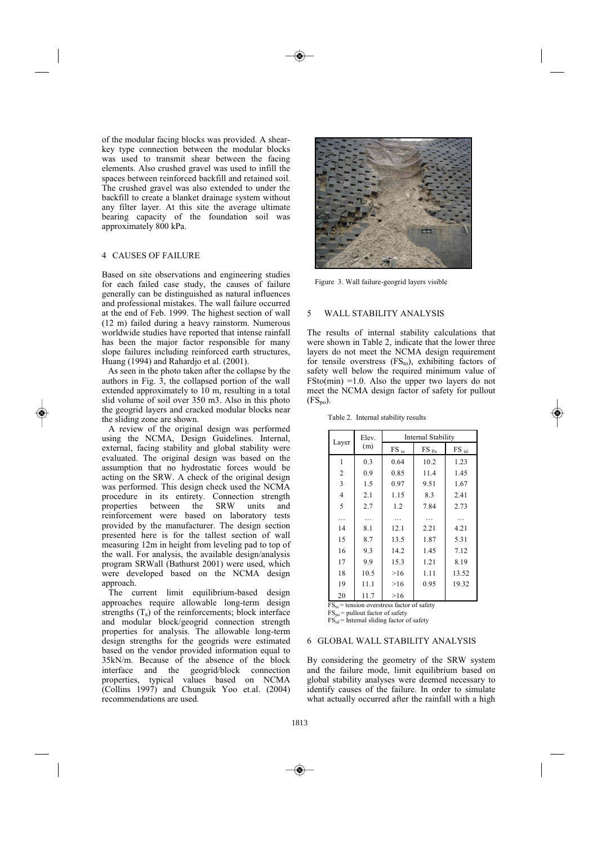of the modular facing blocks was provided. A shearkey type connection between the modular blocks was used to transmit shear between the facing elements. Also crushed gravel was used to infill the spaces between reinforced backfill and retained soil. The crushed gravel was also extended to under the backfill to create a blanket drainage system without any filter layer. At this site the average ultimate bearing capacity of the foundation soil was approximately 800 kPa.

## 4 CAUSES OF FAILURE

Based on site observations and engineering studies for each failed case study, the causes of failure generally can be distinguished as natural influences and professional mistakes. The wall failure occurred at the end of Feb. 1999. The highest section of wall (12 m) failed during a heavy rainstorm. Numerous worldwide studies have reported that intense rainfall has been the major factor responsible for many slope failures including reinforced earth structures, Huang (1994) and Rahardjo et al. (2001).

As seen in the photo taken after the collapse by the authors in Fig. 3, the collapsed portion of the wall extended approximately to 10 m, resulting in a total slid volume of soil over 350 m3. Also in this photo the geogrid layers and cracked modular blocks near the sliding zone are shown.

 A review of the original design was performed using the NCMA, Design Guidelines. Internal, external, facing stability and global stability were evaluated. The original design was based on the assumption that no hydrostatic forces would be acting on the SRW. A check of the original design was performed. This design check used the NCMA procedure in its entirety. Connection strength<br>properties between the SRW units and properties between the SRW units and reinforcement were based on laboratory tests provided by the manufacturer. The design section presented here is for the tallest section of wall measuring 12m in height from leveling pad to top of the wall. For analysis, the available design/analysis program SRWall (Bathurst 2001) were used, which were developed based on the NCMA design approach.

 The current limit equilibrium-based design approaches require allowable long-term design strengths  $(T_a)$  of the reinforcements; block interface and modular block/geogrid connection strength properties for analysis. The allowable long-term design strengths for the geogrids were estimated based on the vendor provided information equal to 35kN/m. Because of the absence of the block geogrid/block connection properties, typical values based on NCMA (Collins 1997) and Chungsik Yoo et.al. (2004) recommendations are used.



Figure 3. Wall failure-geogrid layers visible

#### 5 WALL STABILITY ANALYSIS

The results of internal stability calculations that were shown in Table 2, indicate that the lower three layers do not meet the NCMA design requirement for tensile overstress  $(FS_{to})$ , exhibiting factors of safety well below the required minimum value of  $FSto(min) = 1.0$ . Also the upper two layers do not meet the NCMA design factor of safety for pullout  $(FS_{\text{no}})$ .

| Layer          | Elev.<br>(m) | <b>Internal Stability</b>           |                                                    |                     |  |
|----------------|--------------|-------------------------------------|----------------------------------------------------|---------------------|--|
|                |              | $\mathop{\text{FS}}$ $_{\text{to}}$ | $\mathop{\text{FS}}\nolimits_{\mathop{\text{Po}}}$ | $FS$ <sub>isl</sub> |  |
| 1              | 0.3          | 0.64                                | 10.2                                               | 1.23                |  |
| $\overline{c}$ | 0.9          | 0.85                                | 11.4                                               | 1.45                |  |
| 3              | 1.5          | 0.97                                | 9.51                                               | 1.67                |  |
| $\overline{4}$ | 2.1          | 1.15                                | 8.3                                                | 2.41                |  |
| 5              | 2.7          | 1.2                                 | 7.84                                               | 2.73                |  |
| $\cdots$       | $\cdots$     | $\cdots$                            | .                                                  |                     |  |
| 14             | 8.1          | 12.1                                | 2.21                                               | 4.21                |  |
| 15             | 8.7          | 13.5                                | 1.87                                               | 5.31                |  |
| 16             | 9.3          | 14.2                                | 1.45                                               | 7.12                |  |
| 17             | 9.9          | 15.3                                | 1.21                                               | 8.19                |  |
| 18             | 10.5         | >16                                 | 1.11                                               | 13.52               |  |
| 19             | 11.1         | >16                                 | 0.95                                               | 19.32               |  |
| 20             | 11.7         | >16                                 |                                                    |                     |  |

Table 2. Internal stability results

 $\overline{FS_{to}}$  = tension overstress factor of safety

 $FS_{po}$  = pullout factor of safety

 $FS<sub>isl</sub>$  = Internal sliding factor of safety

#### 6 GLOBAL WALL STABILITY ANALYSIS

By considering the geometry of the SRW system and the failure mode, limit equilibrium based on global stability analyses were deemed necessary to identify causes of the failure. In order to simulate what actually occurred after the rainfall with a high